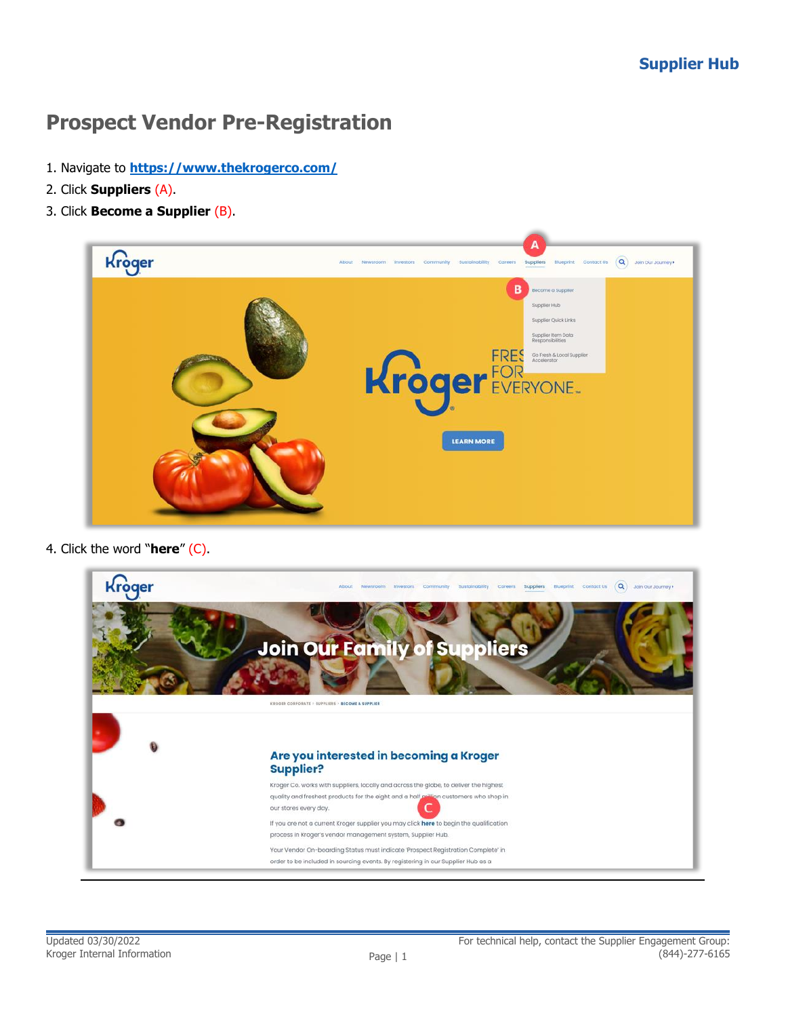## **Prospect Vendor Pre-Registration**

- 1. Navigate to **<https://www.thekrogerco.com/>**
- 2. Click **Suppliers** (A).
- 3. Click **Become a Supplier** (B).

| Kroger | А<br>Q Join Our Journey +<br>Newsroom investors Community Sustainability Careers Suppliers<br>Blueprint Contact Us<br>About                                                                                  |
|--------|--------------------------------------------------------------------------------------------------------------------------------------------------------------------------------------------------------------|
|        | В<br>Become a Supplier<br>Supplier Hub<br>Supplier Quick Links<br>Supplier Item Data<br>Responsibilities<br><b>FRES</b><br>Go Fresh & Local Supplier<br>Accelerator<br>Kroger EVERYONE.<br><b>LEARN MORE</b> |

4. Click the word "**here**" (C).

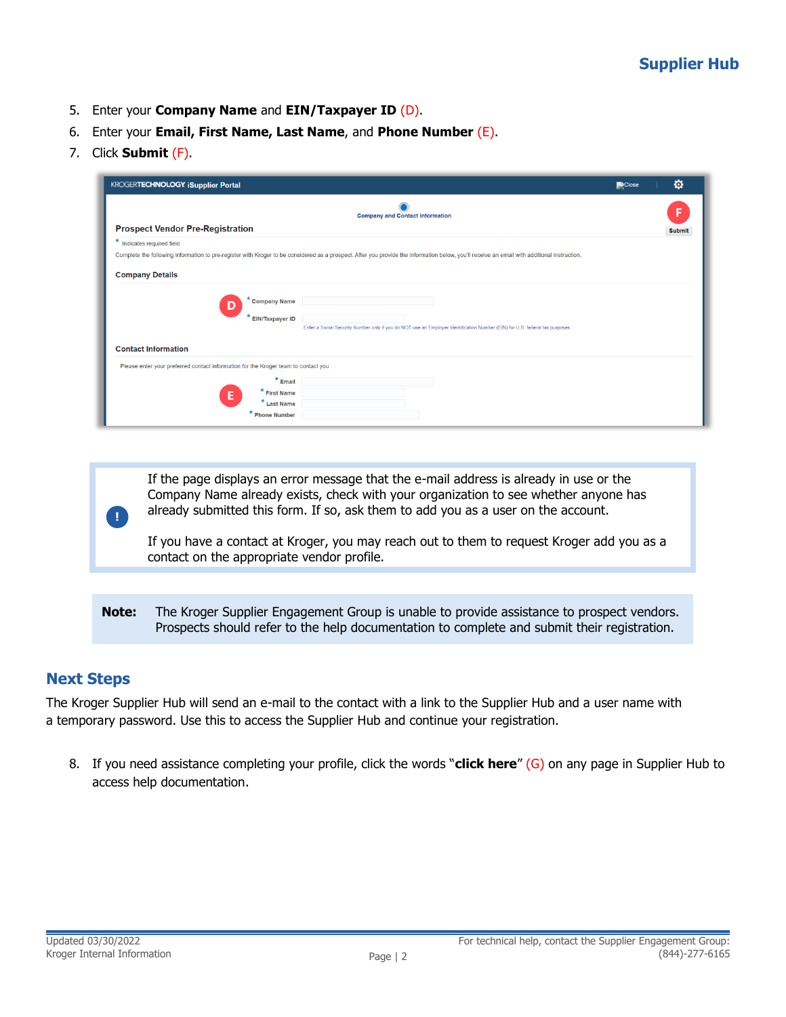- 5. Enter your **Company Name** and **EIN/Taxpayer ID** (D).
- 6. Enter your **Email, First Name, Last Name**, and **Phone Number** (E).
- 7. Click **Submit** (F).

| <b>KROGERTECHNOLOGY iSupplier Portal</b>                                           |                                                                                                                                                                                              | Close | o             |
|------------------------------------------------------------------------------------|----------------------------------------------------------------------------------------------------------------------------------------------------------------------------------------------|-------|---------------|
|                                                                                    | <b>Company and Contact Information</b>                                                                                                                                                       |       |               |
| <b>Prospect Vendor Pre-Registration</b>                                            |                                                                                                                                                                                              |       | <b>Submit</b> |
| * Indicates required field                                                         | Complete the following information to pre-register with Kroger to be considered as a prospect. After you provide the information below, you'll receive an email with additional instruction. |       |               |
| <b>Company Details</b>                                                             |                                                                                                                                                                                              |       |               |
| <b>Company Name</b><br><b>EIN/Taxpayer ID</b>                                      | Enter a Social Security Number only if you do NOT use an Employer Identification Number (EIN) for U.S. federal tax purposes.                                                                 |       |               |
| <b>Contact Information</b>                                                         |                                                                                                                                                                                              |       |               |
| Please enter your preferred contact information for the Kroger team to contact you |                                                                                                                                                                                              |       |               |
| $*$ Email<br>* First Name<br>Е<br>* Last Name<br>* Phone Number                    |                                                                                                                                                                                              |       |               |

If the page displays an error message that the e-mail address is already in use or the Company Name already exists, check with your organization to see whether anyone has already submitted this form. If so, ask them to add you as a user on the account.

If you have a contact at Kroger, you may reach out to them to request Kroger add you as a contact on the appropriate vendor profile.

**Note:** The Kroger Supplier Engagement Group is unable to provide assistance to prospect vendors. Prospects should refer to the help documentation to complete and submit their registration.

## **Next Steps**

**!**

The Kroger Supplier Hub will send an e-mail to the contact with a link to the Supplier Hub and a user name with a temporary password. Use this to access the Supplier Hub and continue your registration.

8. If you need assistance completing your profile, click the words "**click here**" (G) on any page in Supplier Hub to access help documentation.